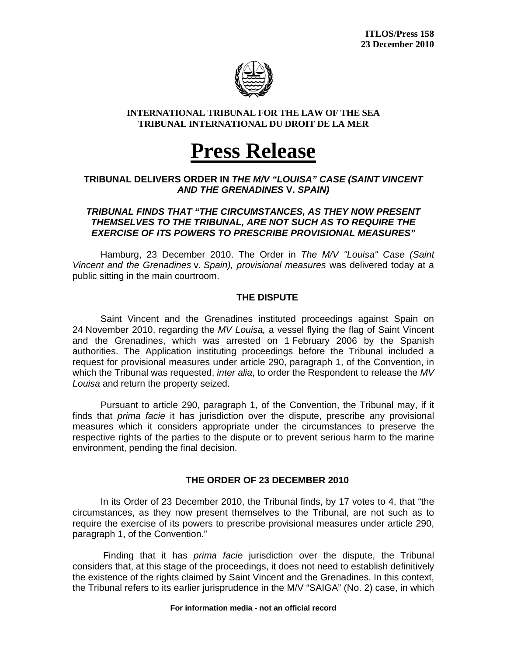

#### **INTERNATIONAL TRIBUNAL FOR THE LAW OF THE SEA TRIBUNAL INTERNATIONAL DU DROIT DE LA MER**

# **Press Release**

### **TRIBUNAL DELIVERS ORDER IN** *THE M/V "LOUISA" CASE (SAINT VINCENT AND THE GRENADINES* **V.** *SPAIN)*

#### *TRIBUNAL FINDS THAT "THE CIRCUMSTANCES, AS THEY NOW PRESENT THEMSELVES TO THE TRIBUNAL, ARE NOT SUCH AS TO REQUIRE THE EXERCISE OF ITS POWERS TO PRESCRIBE PROVISIONAL MEASURES"*

Hamburg, 23 December 2010. The Order in *The M/V "Louisa" Case (Saint Vincent and the Grenadines* v. *Spain), provisional measures* was delivered today at a public sitting in the main courtroom.

## **THE DISPUTE**

Saint Vincent and the Grenadines instituted proceedings against Spain on 24 November 2010, regarding the *MV Louisa,* a vessel flying the flag of Saint Vincent and the Grenadines, which was arrested on 1 February 2006 by the Spanish authorities. The Application instituting proceedings before the Tribunal included a request for provisional measures under article 290, paragraph 1, of the Convention, in which the Tribunal was requested, *inter alia*, to order the Respondent to release the *MV Louisa* and return the property seized.

Pursuant to article 290, paragraph 1, of the Convention, the Tribunal may, if it finds that *prima facie* it has jurisdiction over the dispute, prescribe any provisional measures which it considers appropriate under the circumstances to preserve the respective rights of the parties to the dispute or to prevent serious harm to the marine environment, pending the final decision.

# **THE ORDER OF 23 DECEMBER 2010**

In its Order of 23 December 2010, the Tribunal finds, by 17 votes to 4, that "the circumstances, as they now present themselves to the Tribunal, are not such as to require the exercise of its powers to prescribe provisional measures under article 290, paragraph 1, of the Convention."

 Finding that it has *prima facie* jurisdiction over the dispute, the Tribunal considers that, at this stage of the proceedings, it does not need to establish definitively the existence of the rights claimed by Saint Vincent and the Grenadines. In this context, the Tribunal refers to its earlier jurisprudence in the M/V "SAIGA" (No. 2) case, in which